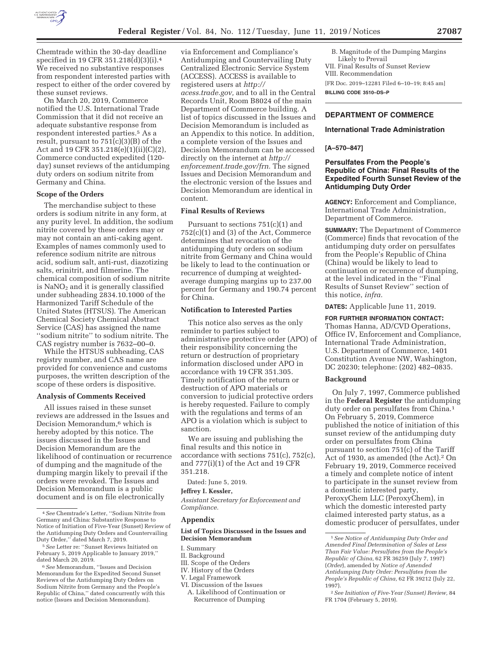

Chemtrade within the 30-day deadline specified in 19 CFR 351.218(d)(3)(i).4 We received no substantive responses from respondent interested parties with respect to either of the order covered by these sunset reviews.

On March 20, 2019, Commerce notified the U.S. International Trade Commission that it did not receive an adequate substantive response from respondent interested parties.5 As a result, pursuant to 751(c)(3)(B) of the Act and 19 CFR 351.218(e)(1)(ii)(C)(2), Commerce conducted expedited (120 day) sunset reviews of the antidumping duty orders on sodium nitrite from Germany and China.

#### **Scope of the Orders**

The merchandise subject to these orders is sodium nitrite in any form, at any purity level. In addition, the sodium nitrite covered by these orders may or may not contain an anti-caking agent. Examples of names commonly used to reference sodium nitrite are nitrous acid, sodium salt, anti-rust, diazotizing salts, erinitrit, and filmerine. The chemical composition of sodium nitrite is  $NaNO<sub>2</sub>$  and it is generally classified under subheading 2834.10.1000 of the Harmonized Tariff Schedule of the United States (HTSUS). The American Chemical Society Chemical Abstract Service (CAS) has assigned the name ''sodium nitrite'' to sodium nitrite. The CAS registry number is 7632–00–0.

While the HTSUS subheading, CAS registry number, and CAS name are provided for convenience and customs purposes, the written description of the scope of these orders is dispositive.

#### **Analysis of Comments Received**

All issues raised in these sunset reviews are addressed in the Issues and Decision Memorandum,6 which is hereby adopted by this notice. The issues discussed in the Issues and Decision Memorandum are the likelihood of continuation or recurrence of dumping and the magnitude of the dumping margin likely to prevail if the orders were revoked. The Issues and Decision Memorandum is a public document and is on file electronically

via Enforcement and Compliance's Antidumping and Countervailing Duty Centralized Electronic Service System (ACCESS). ACCESS is available to registered users at *http:// acess.trade.gov,* and to all in the Central Records Unit, Room B8024 of the main Department of Commerce building. A list of topics discussed in the Issues and Decision Memorandum is included as an Appendix to this notice. In addition, a complete version of the Issues and Decision Memorandum can be accessed directly on the internet at *http:// enforcement.trade.gov/frn.* The signed Issues and Decision Memorandum and the electronic version of the Issues and Decision Memorandum are identical in content.

## **Final Results of Reviews**

Pursuant to sections 751(c)(1) and 752(c)(1) and (3) of the Act, Commerce determines that revocation of the antidumping duty orders on sodium nitrite from Germany and China would be likely to lead to the continuation or recurrence of dumping at weightedaverage dumping margins up to 237.00 percent for Germany and 190.74 percent for China.

#### **Notification to Interested Parties**

This notice also serves as the only reminder to parties subject to administrative protective order (APO) of their responsibility concerning the return or destruction of proprietary information disclosed under APO in accordance with 19 CFR 351.305. Timely notification of the return or destruction of APO materials or conversion to judicial protective orders is hereby requested. Failure to comply with the regulations and terms of an APO is a violation which is subject to sanction.

We are issuing and publishing the final results and this notice in accordance with sections 751(c), 752(c), and 777(i)(1) of the Act and 19 CFR 351.218.

Dated: June 5, 2019.

### **Jeffrey I. Kessler,**

*Assistant Secretary for Enforcement and Compliance.* 

### **Appendix**

### **List of Topics Discussed in the Issues and Decision Memorandum**

- I. Summary
- II. Background
- III. Scope of the Orders
- IV. History of the Orders
- V. Legal Framework
- VI. Discussion of the Issues A. Likelihood of Continuation or Recurrence of Dumping
- B. Magnitude of the Dumping Margins Likely to Prevail
- VII. Final Results of Sunset Review
- VIII. Recommendation

[FR Doc. 2019–12281 Filed 6–10–19; 8:45 am] **BILLING CODE 3510–DS–P** 

# **DEPARTMENT OF COMMERCE**

# **International Trade Administration**

#### **[A–570–847]**

## **Persulfates From the People's Republic of China: Final Results of the Expedited Fourth Sunset Review of the Antidumping Duty Order**

**AGENCY:** Enforcement and Compliance, International Trade Administration, Department of Commerce.

**SUMMARY:** The Department of Commerce (Commerce) finds that revocation of the antidumping duty order on persulfates from the People's Republic of China (China) would be likely to lead to continuation or recurrence of dumping, at the level indicated in the ''Final Results of Sunset Review'' section of this notice, *infra.* 

**DATES:** Applicable June 11, 2019.

**FOR FURTHER INFORMATION CONTACT:**  Thomas Hanna, AD/CVD Operations, Office IV, Enforcement and Compliance, International Trade Administration, U.S. Department of Commerce, 1401 Constitution Avenue NW, Washington, DC 20230; telephone: (202) 482–0835.

#### **Background**

On July 7, 1997, Commerce published in the **Federal Register** the antidumping duty order on persulfates from China.<sup>1</sup> On February 5, 2019, Commerce published the notice of initiation of this sunset review of the antidumping duty order on persulfates from China pursuant to section 751(c) of the Tariff Act of 1930, as amended (the Act).2 On February 19, 2019, Commerce received a timely and complete notice of intent to participate in the sunset review from a domestic interested party, PeroxyChem LLC (PeroxyChem), in which the domestic interested party claimed interested party status, as a domestic producer of persulfates, under

<sup>4</sup>*See* Chemtrade's Letter, ''Sodium Nitrite from Germany and China: Substantive Response to Notice of Initiation of Five-Year (Sunset) Review of the Antidumping Duty Orders and Countervailing Duty Order,'' dated March 7, 2019.

<sup>5</sup>*See* Letter re: ''Sunset Reviews Initiated on February 5, 2019 Applicable to January 2019,'' dated March 20, 2019.

<sup>6</sup>*See* Memorandum, ''Issues and Decision Memorandum for the Expedited Second Sunset Reviews of the Antidumping Duty Orders on Sodium Nitrite from Germany and the People's Republic of China,'' dated concurrently with this notice (Issues and Decision Memorandum).

<sup>1</sup>*See Notice of Antidumping Duty Order and Amended Final Determination of Sales at Less Than Fair Value: Persulfates from the People's Republic of China,* 62 FR 36259 (July 7, 1997) (*Order*), amended by *Notice of Amended Antidumping Duty Order: Persulfates from the People's Republic of China,* 62 FR 39212 (July 22, 1997).

<sup>2</sup>*See Initiation of Five-Year (Sunset) Review,* 84 FR 1704 (February 5, 2019).